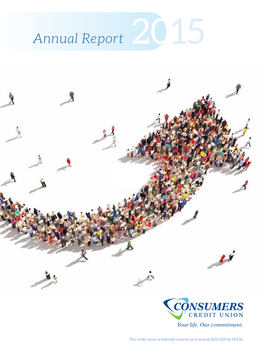





Your life. Our commitment.

This credit union is federally insured up to at least \$250,000 by NCUA.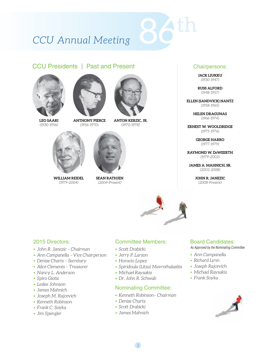# *CCU Annual Meeting*

### CCU Presidents l Past and Present



**LEO SAARI** *(1930-1956)*







**ANTON KERZIC, JR.** *(1970-1978)*



**WILLIAM REIDEL** *(1979-2004)*



**SEAN RATHJEN** *(2004-Present)*



**JACK LIUKKU**  *(1930-1947)*

**RUSS ALFORD**  *(1948-1957)*

**ELLEN (SANDVICK) NANTZ**  *(1958-1965)*

> **HELEN DRAGUNAS**  *(1966-1974)*

**ERNEST W. WOOLDRIDGE**  *(1975-1976)*

> **GEORGE HARRO**  *(1977-1979)*

**RAYMOND W. DeWEERTH**  *(1979-2002)*

**JAMES A. MAHNICH, SR.**  *(2002-2008)*

> **JOHN R. JANEZIC**  *(2008-Present)*



86th

### 2015 Directors:

- *• John R. Janezic Chairman*
- *• Ann Campanella Vice Chairperson*
- *• Denise Charts Secretary*
- *• Alice Clements Treasurer*
- *• Nancy L. Anderson*
- *• Spiro Giotis*
- *• Leslee Johnson*
- *• James Mahnich*
- *• Joseph M. Rajcevich*
- *• Kenneth Robinson*
- *• Frank C. Soyka*
- *• Jim Spengler*

### Committee Members:

- *• Scott Drabicki*
- *• Jerry P. Larson*
- *• Horacio Lopez*
- *• Spiridoula (Litza) Mavrothalasitis*
- *• Michael Raysakis*
- *• Dr. John R. Schwab*

### Nominating Committee:

- *• Kenneth Robinson– Chairman*
- *• Denise Charts*
- *• Scott Drabicki*
- *• James Mahnich*

2

### Board Candidates:

*As Approved by the Nominating Committee*

- *• Ann Campanella*
- *• Richard Lynn*
- *• Joseph Rajcevich*
- *• Michael Raysakis*
- *• Frank Soyka*

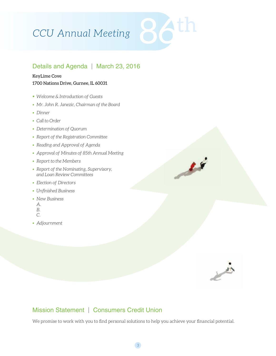# CCU Annual Meeting

## Details and Agenda | March 23, 2016

#### KeyLime Cove

#### 1700 Nations Drive, Gurnee, IL 60031

- *• Welcome & Introduction of Guests*
- *• Mr. John R. Janezic, Chairman of the Board*
- *• Dinner*
- *• Call to Order*
- *• Determination of Quorum*
- *• Report of the Registration Committee*
- *• Reading and Approval of Agenda*
- *Approval of Minutes of 85th Annual Meeting*
- *• Report to the Members*
- *• Report of the Nominating, Supervisory, and Loan Review Committees*
- *Election of Directors*
- *• Unfinished Business*
- *New Business*
- *A.*
- *B.*
- *C.*
- *• Adjournment*



 $\overline{\mathcal{L}}$ 

# Mission Statement | Consumers Credit Union

We promise to work with you to find personal solutions to help you achieve your financial potential.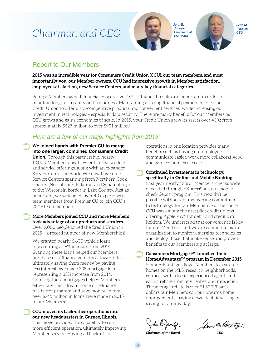# *Chairman and CEO*



*John R. Janezic Chairman of the Board*



## Report to Our Members

**2015 was an incredible year for Consumers Credit Union (CCU), our team members, and most importantly you, our Member-owners. CCU had impressive growth in Member satisfaction, employee satisfaction, new Service Centers, and many key financial categories.** 

Being a Member-owned financial cooperative, CCU's financial results are important in order to maintain long-term safety and soundness. Maintaining a strong financial position enables the Credit Union to offer ultra-competitive products and convenient services, while increasing our investment in technologies - especially data security. There are many benefits for our Members as CCU grows and gains economies of scale. In 2015, your Credit Union grew its assets over 43%; from approximately \$627 million to over \$901 million!

### *Here are a few of our major highlights from 2015:*

**We joined hands with Premier CU to merge into one larger, combined Consumers Credit Union.** Through this partnership, nearly 12,000 Members now have enhanced product and service offerings, along with an expanded Service Center network. We now have nine Service Centers spanning from Northern Cook County (Northbrook, Palatine, and Schaumburg) to the Wisconsin border in Lake County. Just as important, we welcomed over 40 experienced team members from Premier CU to join CCU's 200+ team members.  $\bullet$ 

**More Members joined CCU and more Members took advantage of our products and services.**  Over 9,000 people joined the Credit Union in 2015 – a record number of new Memberships!  $\bullet$ 

We granted nearly 6,600 vehicle loans, representing a 19% increase from 2014. Granting these loans helped our Members purchase or refinance vehicles at lower rates, ultimately saving them money by paying less interest. We made 338 mortgage loans, representing a 33% increase from 2014. Granting these mortgages helped Members either buy their dream home or refinance to a better program and save money. In total, over \$245 million in loans were made in 2015 to our Members!

**CCU moved its back-office operations into our new headquarters in Gurnee, Illinois.**

➲

This move provided the capability to run a more efficient operation, ultimately improving Member service. Having all back-office

operations in one location provides many benefits such as having our employees communicate easier, work more collaboratively, and gain economies of scale.

**Continued investments in technology, specifically in Online and Mobile Banking.**  Last year nearly 13% of Members' checks were deposited through eXpressShot, our mobile check deposit program. This wouldn't be possible without an unwavering commitment to technology for our Members. Furthermore, CCU was among the first pilot credit unions offering Apple Pay® for debit and credit card holders. We understand that convenience is key for our Members, and we are committed as an organization to monitor emerging technologies and deploy those that make sense and provide benefits to our Membership at large. ➲

Consumers Mortgages<sup>SM</sup> launched their HomeAdvantage<sup>™</sup> program in December 2015. HomeAdvantage allows Members to search for homes on the MLS, research neighborhoods, connect with a local, experienced agent, and earn a rebate from any real estate transaction. The average rebate is over \$1,500! That's dollars our Members can put towards home improvements, paying down debt, investing or saving for a rainy day. ➲

*Chairman of the Board CEO*

4

Car m Ratton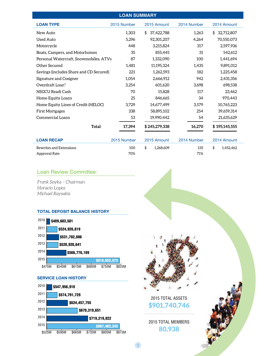| <b>LOAN SUMMARY</b>                     |             |                  |             |                  |  |  |
|-----------------------------------------|-------------|------------------|-------------|------------------|--|--|
| <b>LOAN TYPE</b>                        | 2015 Number | 2015 Amount      | 2014 Number | 2014 Amount      |  |  |
| New Auto                                | 1.303       | 37,422,788<br>\$ | 1,263       | 32,712,807<br>\$ |  |  |
| <b>Used Auto</b>                        | 5,296       | 92,301,207       | 4,264       | 70,550,073       |  |  |
| Motorcycle                              | 448         | 3,215,824        | 317         | 2,597,936        |  |  |
| Boats, Campers, and Motorhomes          | 35          | 855,445          | 31          | 542,612          |  |  |
| Personal Watercraft, Snowmobiles, ATVs  | 87          | 1,332,090        | 100         | 1,441,694        |  |  |
| Other Secured                           | 1.481       | 11,195,324       | 1,435       | 9,891,012        |  |  |
| Savings (includes Share and CD Secured) | 221         | 1,262,593        | 182         | 1,225,458        |  |  |
| Signature and Cosigner                  | 1,054       | 2,666,912        | 942         | 2,431,356        |  |  |
| Overdraft Loan*                         | 3,254       | 601,620          | 3,698       | 698,538          |  |  |
| NSGCU Readi Cash                        | 70          | 15,828           | 117         | 23,462           |  |  |
| Home Equity Loans                       | 25          | 846,665          | 34          | 970,443          |  |  |
| Home Equity Lines of Credit (HELOC)     | 3.729       | 14,677,499       | 3,579       | 10,765,223       |  |  |
| <b>First Mortgages</b>                  | 338         | 58,895,102       | 254         | 39,659,314       |  |  |
| Commercial Loans                        | 53          | 19,990,442       | 54          | 21,635,629       |  |  |
| <b>Total</b>                            | 17,394      | \$245,279,338    | 16,270      | \$195,145,555    |  |  |
| <b>LOAN RECAP</b>                       | 2015 Number | 2015 Amount      | 2014 Number | 2014 Amount      |  |  |
| Rewrites and Extensions                 | 100         | \$<br>1,268,609  | 135         | \$<br>1,452,462  |  |  |
| Approval Rate                           | 70%         |                  | 71%         |                  |  |  |

### Loan Review Committee:

*Frank Soyka – Chairman Horacio Lopez Michael Raysakis*





**SERVICE LOAN HISTORY**





2015 TOTAL ASSETS **\$901,740,746**

2015 TOTAL MEMBERS **80,938**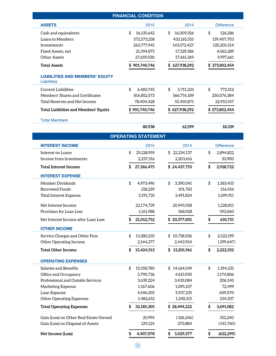| <b>ASSETS</b><br>2015<br>2014<br><b>Difference</b><br>\$<br>16,009,356<br>\$<br>Cash and equivalents<br>16,135,642<br>\$<br>126,286<br>Loans to Members<br>572,573,258<br>433,165,555<br>139,407,703<br>Investments<br>263,777,941<br>143,572,427<br>120,205,514<br>4,065,289<br>Fixed Assets, net<br>21,594,875<br>17,529,586<br><b>Other Assets</b><br>27,659,030<br>17,661,369<br>9,997,661<br>\$901,740,746<br>\$627,938,292<br>\$273,802,454<br><b>Total Assets</b><br><b>LIABILITIES AND MEMBERS' EQUITY</b><br>Liabilities<br>\$<br>\$<br>\$<br><b>Current Liabilities</b><br>6,483,745<br>5,711,233<br>772,512<br>Members' Shares and Certificates<br>566,776,189<br>250,076,384<br>816,852,573<br>Total Reserves and Net Income<br>78,404,428<br>55,450,871<br>22,953,557<br><b>Total Liabilities and Members' Equity</b><br>\$901,740,746<br>\$627,938,292<br>\$273,802,454<br><b>Total Members</b><br>80,938<br>62,599<br>18,339<br><b>OPERATING STATEMENT</b><br><b>INTEREST INCOME</b><br>2015<br>2014<br><b>Difference</b><br>\$<br>\$<br>Interest on Loans<br>25,128,959<br>\$22,234,137<br>2,894,822<br>Income from Investments<br>2,237,516<br>2,203,616<br>33,900<br>\$24,437,753<br>\$<br><b>Total Interest Income</b><br>\$<br>27,366,475<br>2,928,722<br><b>INTEREST EXPENSE</b><br>\$<br>\$<br>Member Dividends<br>4,973,496<br>\$<br>3,390,041<br>1,583,455<br><b>Borrowed Funds</b><br>218,239<br>101,783<br>116,456<br><b>Total Interest Expense</b><br>5,191,735<br>3,491,824<br>1,699,911<br>Net Interest Income<br>22,174,739<br>20,945,928<br>1,228,811<br>Provision for Loan Loss<br>1,161,988<br>568.928<br>593,060<br>\$20,377,001<br>\$<br>Net Interest Income after Loan Loss<br>21,012,752<br>635,751<br><b>OTHER INCOME</b><br>\$<br>\$<br>Service Charges and Other Fees<br>\$10,758,036<br>13,280,235<br>2,522,199<br><b>Other Operating Income</b><br>2,144,277<br>2,443,924<br>(299, 647)<br>\$<br>\$13,201,961<br>\$<br><b>Total Other Income</b><br>15,424,513<br>2,222,552<br><b>OPERATING EXPENSES</b><br>\$<br>\$<br>Salaries and Benefits<br>15,558,780<br>\$14,164,549<br>1,394,231<br>Office and Occupancy<br>5,790,736<br>4,615,930<br>1,174,806<br>Professional and Outside Services<br>3,639,224<br>3,433,084<br>206,140<br>Marketing Expense<br>1,167,606<br>1,095,107<br>72,499<br>Loan Expense<br>609,070<br>4,546,305<br>3,937,235<br><b>Other Operating Expenses</b><br>234,337<br>1,482,652<br>1,248,315<br>32,185,305<br>\$28,494,222<br><b>Total Operating Expenses</b><br>3,691,082<br>\$<br>Gain (Loss) on Other Real Estate Owned<br>25,994<br>(326, 246)<br>352,240<br>Gain (Loss) on Disposal of Assets<br>129,124<br>270,884<br>(141,760)<br>4,407,078<br>Net Income (Loss)<br>5,029,377<br>(622, 299)<br>\$<br>\$ | <b>FINANCIAL CONDITION</b> |  |  |  |  |  |  |
|-------------------------------------------------------------------------------------------------------------------------------------------------------------------------------------------------------------------------------------------------------------------------------------------------------------------------------------------------------------------------------------------------------------------------------------------------------------------------------------------------------------------------------------------------------------------------------------------------------------------------------------------------------------------------------------------------------------------------------------------------------------------------------------------------------------------------------------------------------------------------------------------------------------------------------------------------------------------------------------------------------------------------------------------------------------------------------------------------------------------------------------------------------------------------------------------------------------------------------------------------------------------------------------------------------------------------------------------------------------------------------------------------------------------------------------------------------------------------------------------------------------------------------------------------------------------------------------------------------------------------------------------------------------------------------------------------------------------------------------------------------------------------------------------------------------------------------------------------------------------------------------------------------------------------------------------------------------------------------------------------------------------------------------------------------------------------------------------------------------------------------------------------------------------------------------------------------------------------------------------------------------------------------------------------------------------------------------------------------------------------------------------------------------------------------------------------------------------------------------------------------------------------------------------------------------------------------------------------------------------------------------------------------------------------------------------------------------------------------------------------------------------------------------|----------------------------|--|--|--|--|--|--|
|                                                                                                                                                                                                                                                                                                                                                                                                                                                                                                                                                                                                                                                                                                                                                                                                                                                                                                                                                                                                                                                                                                                                                                                                                                                                                                                                                                                                                                                                                                                                                                                                                                                                                                                                                                                                                                                                                                                                                                                                                                                                                                                                                                                                                                                                                                                                                                                                                                                                                                                                                                                                                                                                                                                                                                                     |                            |  |  |  |  |  |  |
|                                                                                                                                                                                                                                                                                                                                                                                                                                                                                                                                                                                                                                                                                                                                                                                                                                                                                                                                                                                                                                                                                                                                                                                                                                                                                                                                                                                                                                                                                                                                                                                                                                                                                                                                                                                                                                                                                                                                                                                                                                                                                                                                                                                                                                                                                                                                                                                                                                                                                                                                                                                                                                                                                                                                                                                     |                            |  |  |  |  |  |  |
|                                                                                                                                                                                                                                                                                                                                                                                                                                                                                                                                                                                                                                                                                                                                                                                                                                                                                                                                                                                                                                                                                                                                                                                                                                                                                                                                                                                                                                                                                                                                                                                                                                                                                                                                                                                                                                                                                                                                                                                                                                                                                                                                                                                                                                                                                                                                                                                                                                                                                                                                                                                                                                                                                                                                                                                     |                            |  |  |  |  |  |  |
|                                                                                                                                                                                                                                                                                                                                                                                                                                                                                                                                                                                                                                                                                                                                                                                                                                                                                                                                                                                                                                                                                                                                                                                                                                                                                                                                                                                                                                                                                                                                                                                                                                                                                                                                                                                                                                                                                                                                                                                                                                                                                                                                                                                                                                                                                                                                                                                                                                                                                                                                                                                                                                                                                                                                                                                     |                            |  |  |  |  |  |  |
|                                                                                                                                                                                                                                                                                                                                                                                                                                                                                                                                                                                                                                                                                                                                                                                                                                                                                                                                                                                                                                                                                                                                                                                                                                                                                                                                                                                                                                                                                                                                                                                                                                                                                                                                                                                                                                                                                                                                                                                                                                                                                                                                                                                                                                                                                                                                                                                                                                                                                                                                                                                                                                                                                                                                                                                     |                            |  |  |  |  |  |  |
|                                                                                                                                                                                                                                                                                                                                                                                                                                                                                                                                                                                                                                                                                                                                                                                                                                                                                                                                                                                                                                                                                                                                                                                                                                                                                                                                                                                                                                                                                                                                                                                                                                                                                                                                                                                                                                                                                                                                                                                                                                                                                                                                                                                                                                                                                                                                                                                                                                                                                                                                                                                                                                                                                                                                                                                     |                            |  |  |  |  |  |  |
|                                                                                                                                                                                                                                                                                                                                                                                                                                                                                                                                                                                                                                                                                                                                                                                                                                                                                                                                                                                                                                                                                                                                                                                                                                                                                                                                                                                                                                                                                                                                                                                                                                                                                                                                                                                                                                                                                                                                                                                                                                                                                                                                                                                                                                                                                                                                                                                                                                                                                                                                                                                                                                                                                                                                                                                     |                            |  |  |  |  |  |  |
|                                                                                                                                                                                                                                                                                                                                                                                                                                                                                                                                                                                                                                                                                                                                                                                                                                                                                                                                                                                                                                                                                                                                                                                                                                                                                                                                                                                                                                                                                                                                                                                                                                                                                                                                                                                                                                                                                                                                                                                                                                                                                                                                                                                                                                                                                                                                                                                                                                                                                                                                                                                                                                                                                                                                                                                     |                            |  |  |  |  |  |  |
|                                                                                                                                                                                                                                                                                                                                                                                                                                                                                                                                                                                                                                                                                                                                                                                                                                                                                                                                                                                                                                                                                                                                                                                                                                                                                                                                                                                                                                                                                                                                                                                                                                                                                                                                                                                                                                                                                                                                                                                                                                                                                                                                                                                                                                                                                                                                                                                                                                                                                                                                                                                                                                                                                                                                                                                     |                            |  |  |  |  |  |  |
|                                                                                                                                                                                                                                                                                                                                                                                                                                                                                                                                                                                                                                                                                                                                                                                                                                                                                                                                                                                                                                                                                                                                                                                                                                                                                                                                                                                                                                                                                                                                                                                                                                                                                                                                                                                                                                                                                                                                                                                                                                                                                                                                                                                                                                                                                                                                                                                                                                                                                                                                                                                                                                                                                                                                                                                     |                            |  |  |  |  |  |  |
|                                                                                                                                                                                                                                                                                                                                                                                                                                                                                                                                                                                                                                                                                                                                                                                                                                                                                                                                                                                                                                                                                                                                                                                                                                                                                                                                                                                                                                                                                                                                                                                                                                                                                                                                                                                                                                                                                                                                                                                                                                                                                                                                                                                                                                                                                                                                                                                                                                                                                                                                                                                                                                                                                                                                                                                     |                            |  |  |  |  |  |  |
|                                                                                                                                                                                                                                                                                                                                                                                                                                                                                                                                                                                                                                                                                                                                                                                                                                                                                                                                                                                                                                                                                                                                                                                                                                                                                                                                                                                                                                                                                                                                                                                                                                                                                                                                                                                                                                                                                                                                                                                                                                                                                                                                                                                                                                                                                                                                                                                                                                                                                                                                                                                                                                                                                                                                                                                     |                            |  |  |  |  |  |  |
|                                                                                                                                                                                                                                                                                                                                                                                                                                                                                                                                                                                                                                                                                                                                                                                                                                                                                                                                                                                                                                                                                                                                                                                                                                                                                                                                                                                                                                                                                                                                                                                                                                                                                                                                                                                                                                                                                                                                                                                                                                                                                                                                                                                                                                                                                                                                                                                                                                                                                                                                                                                                                                                                                                                                                                                     |                            |  |  |  |  |  |  |
|                                                                                                                                                                                                                                                                                                                                                                                                                                                                                                                                                                                                                                                                                                                                                                                                                                                                                                                                                                                                                                                                                                                                                                                                                                                                                                                                                                                                                                                                                                                                                                                                                                                                                                                                                                                                                                                                                                                                                                                                                                                                                                                                                                                                                                                                                                                                                                                                                                                                                                                                                                                                                                                                                                                                                                                     |                            |  |  |  |  |  |  |
|                                                                                                                                                                                                                                                                                                                                                                                                                                                                                                                                                                                                                                                                                                                                                                                                                                                                                                                                                                                                                                                                                                                                                                                                                                                                                                                                                                                                                                                                                                                                                                                                                                                                                                                                                                                                                                                                                                                                                                                                                                                                                                                                                                                                                                                                                                                                                                                                                                                                                                                                                                                                                                                                                                                                                                                     |                            |  |  |  |  |  |  |
|                                                                                                                                                                                                                                                                                                                                                                                                                                                                                                                                                                                                                                                                                                                                                                                                                                                                                                                                                                                                                                                                                                                                                                                                                                                                                                                                                                                                                                                                                                                                                                                                                                                                                                                                                                                                                                                                                                                                                                                                                                                                                                                                                                                                                                                                                                                                                                                                                                                                                                                                                                                                                                                                                                                                                                                     |                            |  |  |  |  |  |  |
|                                                                                                                                                                                                                                                                                                                                                                                                                                                                                                                                                                                                                                                                                                                                                                                                                                                                                                                                                                                                                                                                                                                                                                                                                                                                                                                                                                                                                                                                                                                                                                                                                                                                                                                                                                                                                                                                                                                                                                                                                                                                                                                                                                                                                                                                                                                                                                                                                                                                                                                                                                                                                                                                                                                                                                                     |                            |  |  |  |  |  |  |
|                                                                                                                                                                                                                                                                                                                                                                                                                                                                                                                                                                                                                                                                                                                                                                                                                                                                                                                                                                                                                                                                                                                                                                                                                                                                                                                                                                                                                                                                                                                                                                                                                                                                                                                                                                                                                                                                                                                                                                                                                                                                                                                                                                                                                                                                                                                                                                                                                                                                                                                                                                                                                                                                                                                                                                                     |                            |  |  |  |  |  |  |
|                                                                                                                                                                                                                                                                                                                                                                                                                                                                                                                                                                                                                                                                                                                                                                                                                                                                                                                                                                                                                                                                                                                                                                                                                                                                                                                                                                                                                                                                                                                                                                                                                                                                                                                                                                                                                                                                                                                                                                                                                                                                                                                                                                                                                                                                                                                                                                                                                                                                                                                                                                                                                                                                                                                                                                                     |                            |  |  |  |  |  |  |
|                                                                                                                                                                                                                                                                                                                                                                                                                                                                                                                                                                                                                                                                                                                                                                                                                                                                                                                                                                                                                                                                                                                                                                                                                                                                                                                                                                                                                                                                                                                                                                                                                                                                                                                                                                                                                                                                                                                                                                                                                                                                                                                                                                                                                                                                                                                                                                                                                                                                                                                                                                                                                                                                                                                                                                                     |                            |  |  |  |  |  |  |
|                                                                                                                                                                                                                                                                                                                                                                                                                                                                                                                                                                                                                                                                                                                                                                                                                                                                                                                                                                                                                                                                                                                                                                                                                                                                                                                                                                                                                                                                                                                                                                                                                                                                                                                                                                                                                                                                                                                                                                                                                                                                                                                                                                                                                                                                                                                                                                                                                                                                                                                                                                                                                                                                                                                                                                                     |                            |  |  |  |  |  |  |
|                                                                                                                                                                                                                                                                                                                                                                                                                                                                                                                                                                                                                                                                                                                                                                                                                                                                                                                                                                                                                                                                                                                                                                                                                                                                                                                                                                                                                                                                                                                                                                                                                                                                                                                                                                                                                                                                                                                                                                                                                                                                                                                                                                                                                                                                                                                                                                                                                                                                                                                                                                                                                                                                                                                                                                                     |                            |  |  |  |  |  |  |
|                                                                                                                                                                                                                                                                                                                                                                                                                                                                                                                                                                                                                                                                                                                                                                                                                                                                                                                                                                                                                                                                                                                                                                                                                                                                                                                                                                                                                                                                                                                                                                                                                                                                                                                                                                                                                                                                                                                                                                                                                                                                                                                                                                                                                                                                                                                                                                                                                                                                                                                                                                                                                                                                                                                                                                                     |                            |  |  |  |  |  |  |
|                                                                                                                                                                                                                                                                                                                                                                                                                                                                                                                                                                                                                                                                                                                                                                                                                                                                                                                                                                                                                                                                                                                                                                                                                                                                                                                                                                                                                                                                                                                                                                                                                                                                                                                                                                                                                                                                                                                                                                                                                                                                                                                                                                                                                                                                                                                                                                                                                                                                                                                                                                                                                                                                                                                                                                                     |                            |  |  |  |  |  |  |
|                                                                                                                                                                                                                                                                                                                                                                                                                                                                                                                                                                                                                                                                                                                                                                                                                                                                                                                                                                                                                                                                                                                                                                                                                                                                                                                                                                                                                                                                                                                                                                                                                                                                                                                                                                                                                                                                                                                                                                                                                                                                                                                                                                                                                                                                                                                                                                                                                                                                                                                                                                                                                                                                                                                                                                                     |                            |  |  |  |  |  |  |
|                                                                                                                                                                                                                                                                                                                                                                                                                                                                                                                                                                                                                                                                                                                                                                                                                                                                                                                                                                                                                                                                                                                                                                                                                                                                                                                                                                                                                                                                                                                                                                                                                                                                                                                                                                                                                                                                                                                                                                                                                                                                                                                                                                                                                                                                                                                                                                                                                                                                                                                                                                                                                                                                                                                                                                                     |                            |  |  |  |  |  |  |
|                                                                                                                                                                                                                                                                                                                                                                                                                                                                                                                                                                                                                                                                                                                                                                                                                                                                                                                                                                                                                                                                                                                                                                                                                                                                                                                                                                                                                                                                                                                                                                                                                                                                                                                                                                                                                                                                                                                                                                                                                                                                                                                                                                                                                                                                                                                                                                                                                                                                                                                                                                                                                                                                                                                                                                                     |                            |  |  |  |  |  |  |
|                                                                                                                                                                                                                                                                                                                                                                                                                                                                                                                                                                                                                                                                                                                                                                                                                                                                                                                                                                                                                                                                                                                                                                                                                                                                                                                                                                                                                                                                                                                                                                                                                                                                                                                                                                                                                                                                                                                                                                                                                                                                                                                                                                                                                                                                                                                                                                                                                                                                                                                                                                                                                                                                                                                                                                                     |                            |  |  |  |  |  |  |
|                                                                                                                                                                                                                                                                                                                                                                                                                                                                                                                                                                                                                                                                                                                                                                                                                                                                                                                                                                                                                                                                                                                                                                                                                                                                                                                                                                                                                                                                                                                                                                                                                                                                                                                                                                                                                                                                                                                                                                                                                                                                                                                                                                                                                                                                                                                                                                                                                                                                                                                                                                                                                                                                                                                                                                                     |                            |  |  |  |  |  |  |
|                                                                                                                                                                                                                                                                                                                                                                                                                                                                                                                                                                                                                                                                                                                                                                                                                                                                                                                                                                                                                                                                                                                                                                                                                                                                                                                                                                                                                                                                                                                                                                                                                                                                                                                                                                                                                                                                                                                                                                                                                                                                                                                                                                                                                                                                                                                                                                                                                                                                                                                                                                                                                                                                                                                                                                                     |                            |  |  |  |  |  |  |
|                                                                                                                                                                                                                                                                                                                                                                                                                                                                                                                                                                                                                                                                                                                                                                                                                                                                                                                                                                                                                                                                                                                                                                                                                                                                                                                                                                                                                                                                                                                                                                                                                                                                                                                                                                                                                                                                                                                                                                                                                                                                                                                                                                                                                                                                                                                                                                                                                                                                                                                                                                                                                                                                                                                                                                                     |                            |  |  |  |  |  |  |
|                                                                                                                                                                                                                                                                                                                                                                                                                                                                                                                                                                                                                                                                                                                                                                                                                                                                                                                                                                                                                                                                                                                                                                                                                                                                                                                                                                                                                                                                                                                                                                                                                                                                                                                                                                                                                                                                                                                                                                                                                                                                                                                                                                                                                                                                                                                                                                                                                                                                                                                                                                                                                                                                                                                                                                                     |                            |  |  |  |  |  |  |
|                                                                                                                                                                                                                                                                                                                                                                                                                                                                                                                                                                                                                                                                                                                                                                                                                                                                                                                                                                                                                                                                                                                                                                                                                                                                                                                                                                                                                                                                                                                                                                                                                                                                                                                                                                                                                                                                                                                                                                                                                                                                                                                                                                                                                                                                                                                                                                                                                                                                                                                                                                                                                                                                                                                                                                                     |                            |  |  |  |  |  |  |
|                                                                                                                                                                                                                                                                                                                                                                                                                                                                                                                                                                                                                                                                                                                                                                                                                                                                                                                                                                                                                                                                                                                                                                                                                                                                                                                                                                                                                                                                                                                                                                                                                                                                                                                                                                                                                                                                                                                                                                                                                                                                                                                                                                                                                                                                                                                                                                                                                                                                                                                                                                                                                                                                                                                                                                                     |                            |  |  |  |  |  |  |
|                                                                                                                                                                                                                                                                                                                                                                                                                                                                                                                                                                                                                                                                                                                                                                                                                                                                                                                                                                                                                                                                                                                                                                                                                                                                                                                                                                                                                                                                                                                                                                                                                                                                                                                                                                                                                                                                                                                                                                                                                                                                                                                                                                                                                                                                                                                                                                                                                                                                                                                                                                                                                                                                                                                                                                                     |                            |  |  |  |  |  |  |
|                                                                                                                                                                                                                                                                                                                                                                                                                                                                                                                                                                                                                                                                                                                                                                                                                                                                                                                                                                                                                                                                                                                                                                                                                                                                                                                                                                                                                                                                                                                                                                                                                                                                                                                                                                                                                                                                                                                                                                                                                                                                                                                                                                                                                                                                                                                                                                                                                                                                                                                                                                                                                                                                                                                                                                                     |                            |  |  |  |  |  |  |
|                                                                                                                                                                                                                                                                                                                                                                                                                                                                                                                                                                                                                                                                                                                                                                                                                                                                                                                                                                                                                                                                                                                                                                                                                                                                                                                                                                                                                                                                                                                                                                                                                                                                                                                                                                                                                                                                                                                                                                                                                                                                                                                                                                                                                                                                                                                                                                                                                                                                                                                                                                                                                                                                                                                                                                                     |                            |  |  |  |  |  |  |
|                                                                                                                                                                                                                                                                                                                                                                                                                                                                                                                                                                                                                                                                                                                                                                                                                                                                                                                                                                                                                                                                                                                                                                                                                                                                                                                                                                                                                                                                                                                                                                                                                                                                                                                                                                                                                                                                                                                                                                                                                                                                                                                                                                                                                                                                                                                                                                                                                                                                                                                                                                                                                                                                                                                                                                                     |                            |  |  |  |  |  |  |
|                                                                                                                                                                                                                                                                                                                                                                                                                                                                                                                                                                                                                                                                                                                                                                                                                                                                                                                                                                                                                                                                                                                                                                                                                                                                                                                                                                                                                                                                                                                                                                                                                                                                                                                                                                                                                                                                                                                                                                                                                                                                                                                                                                                                                                                                                                                                                                                                                                                                                                                                                                                                                                                                                                                                                                                     |                            |  |  |  |  |  |  |
|                                                                                                                                                                                                                                                                                                                                                                                                                                                                                                                                                                                                                                                                                                                                                                                                                                                                                                                                                                                                                                                                                                                                                                                                                                                                                                                                                                                                                                                                                                                                                                                                                                                                                                                                                                                                                                                                                                                                                                                                                                                                                                                                                                                                                                                                                                                                                                                                                                                                                                                                                                                                                                                                                                                                                                                     |                            |  |  |  |  |  |  |
|                                                                                                                                                                                                                                                                                                                                                                                                                                                                                                                                                                                                                                                                                                                                                                                                                                                                                                                                                                                                                                                                                                                                                                                                                                                                                                                                                                                                                                                                                                                                                                                                                                                                                                                                                                                                                                                                                                                                                                                                                                                                                                                                                                                                                                                                                                                                                                                                                                                                                                                                                                                                                                                                                                                                                                                     |                            |  |  |  |  |  |  |

6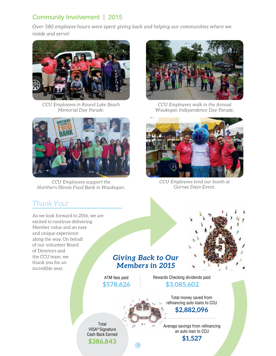# Community Involvement | 2015

*Over 580 employee hours were spent giving back and helping our communities where we reside and serve!*



*CCU Employees in Round Lake Beach Memorial Day Parade.*



*CCU Employees support the Northern Illinois Food Bank in Waukegan.*



*CCU Employees walk in the Annual Waukegan Independence Day Parade.*



*CCU Employees tend our booth at Gurnee Days Event.*

# *Thank You!*

As we look forward to 2016, we are excited to continue delivering Member value and an easy and unique experience along the way. On behalf of our volunteer Board of Directors and the CCU team, we thank you for an incredible year.



# *Giving Back to Our Members in 2015*

7

ATM fees paid **\$578,626** Rewards Checking dividends paid: **\$3,085,602**

> Total money saved from refinancing auto loans to CCU

# **\$2,882,096**

Average savings from refinancing an auto loan to CCU **\$1,527**

VISA® Signature Cash Back Earned **\$386,843**

Total